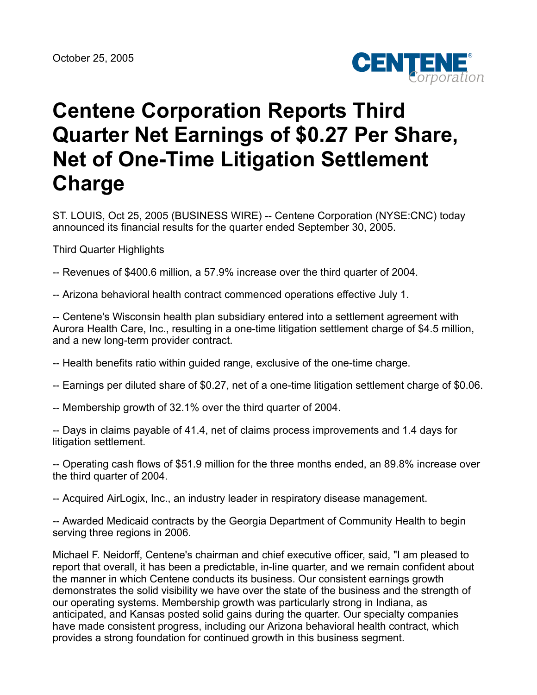

# **Centene Corporation Reports Third Quarter Net Earnings of \$0.27 Per Share, Net of One-Time Litigation Settlement Charge**

ST. LOUIS, Oct 25, 2005 (BUSINESS WIRE) -- Centene Corporation (NYSE:CNC) today announced its financial results for the quarter ended September 30, 2005.

Third Quarter Highlights

-- Revenues of \$400.6 million, a 57.9% increase over the third quarter of 2004.

-- Arizona behavioral health contract commenced operations effective July 1.

-- Centene's Wisconsin health plan subsidiary entered into a settlement agreement with Aurora Health Care, Inc., resulting in a one-time litigation settlement charge of \$4.5 million, and a new long-term provider contract.

-- Health benefits ratio within guided range, exclusive of the one-time charge.

-- Earnings per diluted share of \$0.27, net of a one-time litigation settlement charge of \$0.06.

-- Membership growth of 32.1% over the third quarter of 2004.

-- Days in claims payable of 41.4, net of claims process improvements and 1.4 days for litigation settlement.

-- Operating cash flows of \$51.9 million for the three months ended, an 89.8% increase over the third quarter of 2004.

-- Acquired AirLogix, Inc., an industry leader in respiratory disease management.

-- Awarded Medicaid contracts by the Georgia Department of Community Health to begin serving three regions in 2006.

Michael F. Neidorff, Centene's chairman and chief executive officer, said, "I am pleased to report that overall, it has been a predictable, in-line quarter, and we remain confident about the manner in which Centene conducts its business. Our consistent earnings growth demonstrates the solid visibility we have over the state of the business and the strength of our operating systems. Membership growth was particularly strong in Indiana, as anticipated, and Kansas posted solid gains during the quarter. Our specialty companies have made consistent progress, including our Arizona behavioral health contract, which provides a strong foundation for continued growth in this business segment.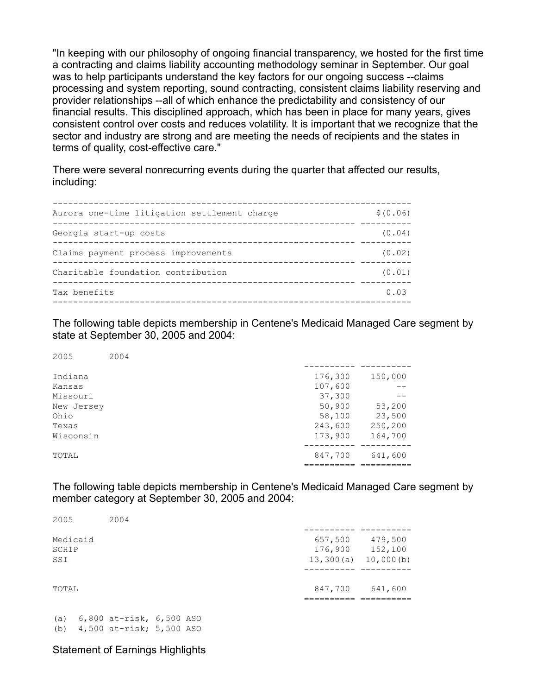"In keeping with our philosophy of ongoing financial transparency, we hosted for the first time a contracting and claims liability accounting methodology seminar in September. Our goal was to help participants understand the key factors for our ongoing success --claims processing and system reporting, sound contracting, consistent claims liability reserving and provider relationships --all of which enhance the predictability and consistency of our financial results. This disciplined approach, which has been in place for many years, gives consistent control over costs and reduces volatility. It is important that we recognize that the sector and industry are strong and are meeting the needs of recipients and the states in terms of quality, cost-effective care."

There were several nonrecurring events during the quarter that affected our results, including:

| Aurora one-time litigation settlement charge | \$ (0.06) |
|----------------------------------------------|-----------|
| Georgia start-up costs                       | (0.04)    |
| Claims payment process improvements          | (0.02)    |
| Charitable foundation contribution           | (0.01)    |
| Tax benefits                                 | 0.03      |
|                                              |           |

The following table depicts membership in Centene's Medicaid Managed Care segment by state at September 30, 2005 and 2004:

| 2005       | 2004 |         |         |
|------------|------|---------|---------|
| Indiana    |      | 176,300 | 150,000 |
| Kansas     |      | 107,600 |         |
| Missouri   |      | 37,300  |         |
| New Jersey |      | 50,900  | 53,200  |
| Ohio       |      | 58,100  | 23,500  |
| Texas      |      | 243,600 | 250,200 |
| Wisconsin  |      | 173,900 | 164,700 |
| TOTAL      |      | 847,700 | 641,600 |
|            |      |         |         |

The following table depicts membership in Centene's Medicaid Managed Care segment by member category at September 30, 2005 and 2004:

| 2005     | 2004 |           |           |
|----------|------|-----------|-----------|
|          |      |           |           |
| Medicaid |      | 657,500   | 479,500   |
| SCHIP    |      | 176,900   | 152,100   |
| SSI      |      | 13,300(a) | 10,000(b) |
| TOTAL    |      | 847,700   | 641,600   |
|          |      |           |           |

(a) 6,800 at-risk, 6,500 ASO (b) 4,500 at-risk; 5,500 ASO

## Statement of Earnings Highlights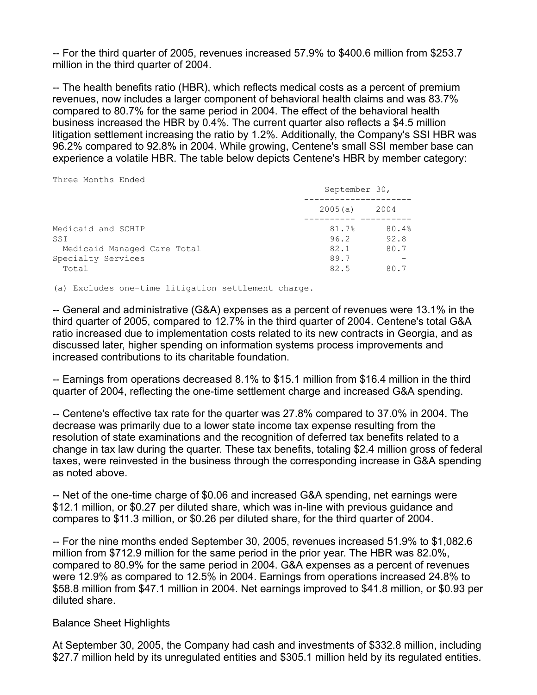-- For the third quarter of 2005, revenues increased 57.9% to \$400.6 million from \$253.7 million in the third quarter of 2004.

-- The health benefits ratio (HBR), which reflects medical costs as a percent of premium revenues, now includes a larger component of behavioral health claims and was 83.7% compared to 80.7% for the same period in 2004. The effect of the behavioral health business increased the HBR by 0.4%. The current quarter also reflects a \$4.5 million litigation settlement increasing the ratio by 1.2%. Additionally, the Company's SSI HBR was 96.2% compared to 92.8% in 2004. While growing, Centene's small SSI member base can experience a volatile HBR. The table below depicts Centene's HBR by member category:

Three Months Ended

|                                                                                         | September 30,                         |                               |
|-----------------------------------------------------------------------------------------|---------------------------------------|-------------------------------|
|                                                                                         | 2005(a)                               | 2004                          |
| Medicaid and SCHIP<br>SSI<br>Medicaid Managed Care Total<br>Specialty Services<br>Total | 81.7%<br>96.2<br>82.1<br>89.7<br>82.5 | 80.4%<br>92.8<br>80.7<br>80.7 |

(a) Excludes one-time litigation settlement charge.

-- General and administrative (G&A) expenses as a percent of revenues were 13.1% in the third quarter of 2005, compared to 12.7% in the third quarter of 2004. Centene's total G&A ratio increased due to implementation costs related to its new contracts in Georgia, and as discussed later, higher spending on information systems process improvements and increased contributions to its charitable foundation.

-- Earnings from operations decreased 8.1% to \$15.1 million from \$16.4 million in the third quarter of 2004, reflecting the one-time settlement charge and increased G&A spending.

-- Centene's effective tax rate for the quarter was 27.8% compared to 37.0% in 2004. The decrease was primarily due to a lower state income tax expense resulting from the resolution of state examinations and the recognition of deferred tax benefits related to a change in tax law during the quarter. These tax benefits, totaling \$2.4 million gross of federal taxes, were reinvested in the business through the corresponding increase in G&A spending as noted above.

-- Net of the one-time charge of \$0.06 and increased G&A spending, net earnings were \$12.1 million, or \$0.27 per diluted share, which was in-line with previous guidance and compares to \$11.3 million, or \$0.26 per diluted share, for the third quarter of 2004.

-- For the nine months ended September 30, 2005, revenues increased 51.9% to \$1,082.6 million from \$712.9 million for the same period in the prior year. The HBR was 82.0%, compared to 80.9% for the same period in 2004. G&A expenses as a percent of revenues were 12.9% as compared to 12.5% in 2004. Earnings from operations increased 24.8% to \$58.8 million from \$47.1 million in 2004. Net earnings improved to \$41.8 million, or \$0.93 per diluted share.

## Balance Sheet Highlights

At September 30, 2005, the Company had cash and investments of \$332.8 million, including \$27.7 million held by its unregulated entities and \$305.1 million held by its regulated entities.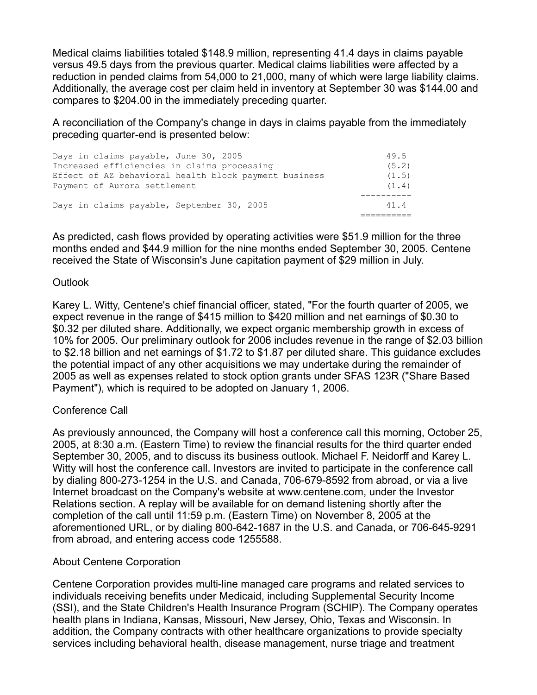Medical claims liabilities totaled \$148.9 million, representing 41.4 days in claims payable versus 49.5 days from the previous quarter. Medical claims liabilities were affected by a reduction in pended claims from 54,000 to 21,000, many of which were large liability claims. Additionally, the average cost per claim held in inventory at September 30 was \$144.00 and compares to \$204.00 in the immediately preceding quarter.

A reconciliation of the Company's change in days in claims payable from the immediately preceding quarter-end is presented below:

| Days in claims payable, June 30, 2005                 | 49.5  |
|-------------------------------------------------------|-------|
| Increased efficiencies in claims processing           | (5.2) |
| Effect of AZ behavioral health block payment business | (1.5) |
| Payment of Aurora settlement                          | (1.4) |
|                                                       |       |
| Days in claims payable, September 30, 2005            | 414   |
|                                                       |       |

As predicted, cash flows provided by operating activities were \$51.9 million for the three months ended and \$44.9 million for the nine months ended September 30, 2005. Centene received the State of Wisconsin's June capitation payment of \$29 million in July.

## **Outlook**

Karey L. Witty, Centene's chief financial officer, stated, "For the fourth quarter of 2005, we expect revenue in the range of \$415 million to \$420 million and net earnings of \$0.30 to \$0.32 per diluted share. Additionally, we expect organic membership growth in excess of 10% for 2005. Our preliminary outlook for 2006 includes revenue in the range of \$2.03 billion to \$2.18 billion and net earnings of \$1.72 to \$1.87 per diluted share. This guidance excludes the potential impact of any other acquisitions we may undertake during the remainder of 2005 as well as expenses related to stock option grants under SFAS 123R ("Share Based Payment"), which is required to be adopted on January 1, 2006.

## Conference Call

As previously announced, the Company will host a conference call this morning, October 25, 2005, at 8:30 a.m. (Eastern Time) to review the financial results for the third quarter ended September 30, 2005, and to discuss its business outlook. Michael F. Neidorff and Karey L. Witty will host the conference call. Investors are invited to participate in the conference call by dialing 800-273-1254 in the U.S. and Canada, 706-679-8592 from abroad, or via a live Internet broadcast on the Company's website at www.centene.com, under the Investor Relations section. A replay will be available for on demand listening shortly after the completion of the call until 11:59 p.m. (Eastern Time) on November 8, 2005 at the aforementioned URL, or by dialing 800-642-1687 in the U.S. and Canada, or 706-645-9291 from abroad, and entering access code 1255588.

# About Centene Corporation

Centene Corporation provides multi-line managed care programs and related services to individuals receiving benefits under Medicaid, including Supplemental Security Income (SSI), and the State Children's Health Insurance Program (SCHIP). The Company operates health plans in Indiana, Kansas, Missouri, New Jersey, Ohio, Texas and Wisconsin. In addition, the Company contracts with other healthcare organizations to provide specialty services including behavioral health, disease management, nurse triage and treatment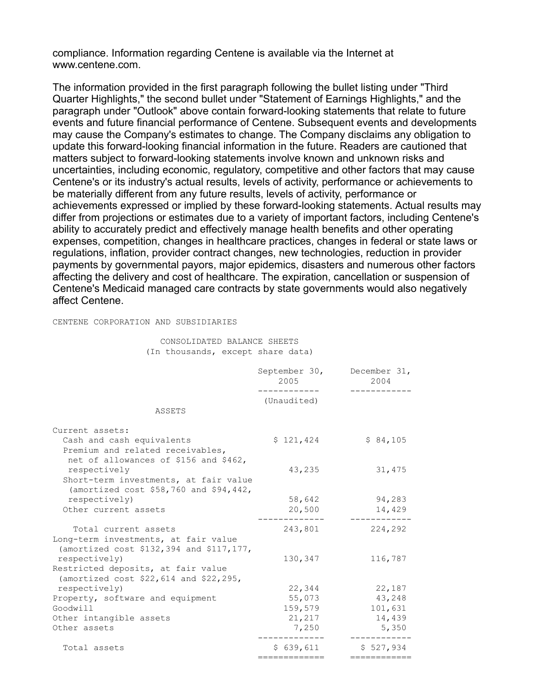compliance. Information regarding Centene is available via the Internet at www.centene.com.

The information provided in the first paragraph following the bullet listing under "Third Quarter Highlights," the second bullet under "Statement of Earnings Highlights," and the paragraph under "Outlook" above contain forward-looking statements that relate to future events and future financial performance of Centene. Subsequent events and developments may cause the Company's estimates to change. The Company disclaims any obligation to update this forward-looking financial information in the future. Readers are cautioned that matters subject to forward-looking statements involve known and unknown risks and uncertainties, including economic, regulatory, competitive and other factors that may cause Centene's or its industry's actual results, levels of activity, performance or achievements to be materially different from any future results, levels of activity, performance or achievements expressed or implied by these forward-looking statements. Actual results may differ from projections or estimates due to a variety of important factors, including Centene's ability to accurately predict and effectively manage health benefits and other operating expenses, competition, changes in healthcare practices, changes in federal or state laws or regulations, inflation, provider contract changes, new technologies, reduction in provider payments by governmental payors, major epidemics, disasters and numerous other factors affecting the delivery and cost of healthcare. The expiration, cancellation or suspension of Centene's Medicaid managed care contracts by state governments would also negatively affect Centene.

CENTENE CORPORATION AND SUBSIDIARIES

 CONSOLIDATED BALANCE SHEETS (In thousands, except share data)

|                                                                                                                           | September 30, December 31,<br>2005 | 2004                   |
|---------------------------------------------------------------------------------------------------------------------------|------------------------------------|------------------------|
| ASSETS                                                                                                                    | (Unaudited)                        |                        |
| Current assets:<br>Cash and cash equivalents<br>Premium and related receivables,<br>net of allowances of \$156 and \$462, | \$121,424                          | \$84,105               |
| respectively<br>Short-term investments, at fair value<br>(amortized cost \$58,760 and \$94,442,                           | 43,235                             | 31,475                 |
| respectively)                                                                                                             | 58,642                             | 94,283                 |
| Other current assets                                                                                                      | 20,500                             | 14,429                 |
| Total current assets<br>Long-term investments, at fair value<br>(amortized cost \$132,394 and \$117,177,                  | 243,801                            | 224,292                |
| respectively)<br>Restricted deposits, at fair value                                                                       | 130,347                            | 116,787                |
| (amortized cost \$22,614 and \$22,295,<br>respectively)                                                                   | 22,344                             | 22,187                 |
| Property, software and equipment                                                                                          | 55,073                             | 43,248                 |
| Goodwill                                                                                                                  | 159,579                            | 101,631                |
| Other intangible assets                                                                                                   | 21,217                             | 14,439                 |
| Other assets                                                                                                              | 7,250                              | 5,350                  |
| Total assets                                                                                                              | \$639,611<br>:=============        | \$527,934<br>========= |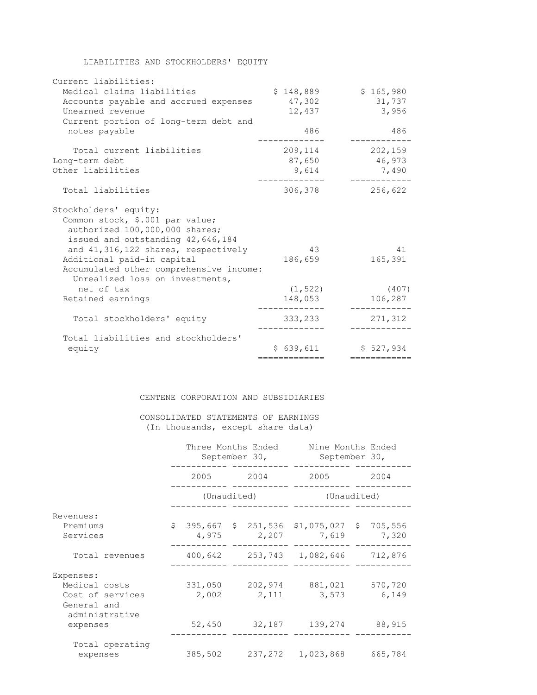|  | LIABILITIES AND STOCKHOLDERS' EQUITY |  |
|--|--------------------------------------|--|
|--|--------------------------------------|--|

| Current liabilities:                                                       |               |             |
|----------------------------------------------------------------------------|---------------|-------------|
| Medical claims liabilities                                                 | \$148,889     | \$165,980   |
| Accounts payable and accrued expenses                                      | 47,302        | 31,737      |
| Unearned revenue                                                           | 12,437        | 3,956       |
| Current portion of long-term debt and                                      |               |             |
| notes payable                                                              | 486           | 486         |
| Total current liabilities                                                  | 209,114       | 202,159     |
| Long-term debt                                                             | 87,650        | 46,973      |
| Other liabilities                                                          | 9,614         | 7,490       |
| Total liabilities                                                          | 306,378       | 256,622     |
| Stockholders' equity:                                                      |               |             |
| Common stock, \$.001 par value;                                            |               |             |
| authorized 100,000,000 shares;                                             |               |             |
| issued and outstanding 42,646,184                                          |               |             |
| and 41, 316, 122 shares, respectively                                      | 43            | 41          |
| Additional paid-in capital                                                 | 186,659       | 165,391     |
| Accumulated other comprehensive income:<br>Unrealized loss on investments, |               |             |
| net of tax                                                                 | (1, 522)      | (407)       |
| Retained earnings                                                          | 148,053       | 106,287     |
| Total stockholders' equity                                                 | 333,233       | 271,312     |
|                                                                            |               |             |
| Total liabilities and stockholders'                                        |               |             |
| equity                                                                     | \$639,611     | \$527.934   |
|                                                                            | ============= | :========== |

#### CENTENE CORPORATION AND SUBSIDIARIES

## CONSOLIDATED STATEMENTS OF EARNINGS (In thousands, except share data)

|                                                   | Three Months Ended<br>September 30, |  |  | Nine Months Ended<br>September 30,                                 |      |         |  |  |
|---------------------------------------------------|-------------------------------------|--|--|--------------------------------------------------------------------|------|---------|--|--|
|                                                   |                                     |  |  | 2005 2004 2005                                                     | 2004 |         |  |  |
|                                                   | (Unaudited)                         |  |  | (Unaudited)                                                        |      |         |  |  |
| Revenues:                                         |                                     |  |  |                                                                    |      |         |  |  |
| Premiums<br>Services                              |                                     |  |  | $$395,667$ $$251,536$ $$1,075,027$ $$705,556$<br>4,975 2,207 7,619 |      | 7,320   |  |  |
| Total revenues                                    |                                     |  |  | 400,642 253,743 1,082,646 712,876                                  |      |         |  |  |
| Expenses:                                         |                                     |  |  |                                                                    |      |         |  |  |
| Medical costs                                     |                                     |  |  | 331,050 202,974 881,021                                            |      | 570,720 |  |  |
| Cost of services<br>General and<br>administrative | 2,002                               |  |  | 2,111 3,573                                                        |      | 6,149   |  |  |
| expenses                                          |                                     |  |  | 52,450 32,187 139,274 88,915                                       |      |         |  |  |
| Total operating<br>expenses                       |                                     |  |  | 385,502 237,272 1,023,868                                          |      | 665,784 |  |  |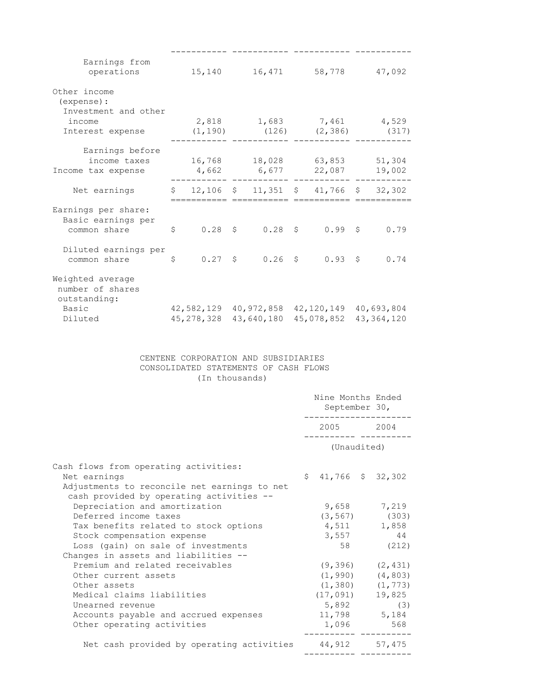| Earnings from<br>operations 15,140 16,471 58,778 47,092                                                       |   |              |            |                                                |  |
|---------------------------------------------------------------------------------------------------------------|---|--------------|------------|------------------------------------------------|--|
| Other income<br>(expense) :<br>Investment and other<br>income                                                 |   |              |            | 2,818 1,683 7,461 4,529                        |  |
| Interest expense                                                                                              |   |              |            | $(1, 190)$ $(126)$ $(2, 386)$ $(317)$          |  |
|                                                                                                               |   |              |            |                                                |  |
| Earnings before<br>income taxes 16,768 18,028 63,853 51,304<br>Income tax expense $4,662$ 6,677 22,087 19,002 |   |              |            |                                                |  |
| Net earnings                                                                                                  |   |              |            | $\frac{12}{106}$ \$ 11,351 \$ 41,766 \$ 32,302 |  |
| Earnings per share:<br>Basic earnings per<br>common share                                                     | S |              |            | $0.28$ \$ $0.28$ \$ $0.99$ \$ 0.79             |  |
| Diluted earnings per<br>common share \$                                                                       |   |              |            | $0.27$ \$ $0.26$ \$ $0.93$ \$ $0.74$           |  |
| Weighted average<br>number of shares<br>outstanding:                                                          |   |              |            |                                                |  |
| Basic                                                                                                         |   |              |            | 42,582,129 40,972,858 42,120,149 40,693,804    |  |
| Diluted                                                                                                       |   | 45, 278, 328 | 43,640,180 | 45,078,852 43,364,120                          |  |

#### CENTENE CORPORATION AND SUBSIDIARIES CONSOLIDATED STATEMENTS OF CASH FLOWS (In thousands)

|                                              | Nine Months Ended<br>September 30, |  |                       |
|----------------------------------------------|------------------------------------|--|-----------------------|
|                                              | 2005 2004                          |  |                       |
|                                              | (Unaudited)                        |  |                       |
| Cash flows from operating activities:        |                                    |  |                       |
| Net earnings                                 | $$41,766$ $$32,302$                |  |                       |
| Adjustments to reconcile net earnings to net |                                    |  |                       |
| cash provided by operating activities --     |                                    |  |                       |
| Depreciation and amortization                | 9,658                              |  | 7,219                 |
| Deferred income taxes                        |                                    |  | $(3, 567)$ (303)      |
| Tax benefits related to stock options        |                                    |  | 4,511 1,858           |
| Stock compensation expense                   | 3,557                              |  | 44                    |
| Loss (gain) on sale of investments           |                                    |  | 58 (212)              |
| Changes in assets and liabilities --         |                                    |  |                       |
| Premium and related receivables              |                                    |  | $(9, 396)$ $(2, 431)$ |
| Other current assets                         |                                    |  | $(1, 990)$ $(4, 803)$ |
| Other assets                                 |                                    |  | $(1, 380)$ $(1, 773)$ |
| Medical claims liabilities                   | $(17, 091)$ 19,825                 |  |                       |
| Unearned revenue                             |                                    |  | $5,892$ (3)           |
| Accounts payable and accrued expenses        | 11,798 5,184                       |  |                       |
| Other operating activities                   |                                    |  | 1,096 568             |
| Net cash provided by operating activities    | 44,912 57,475                      |  |                       |
|                                              |                                    |  |                       |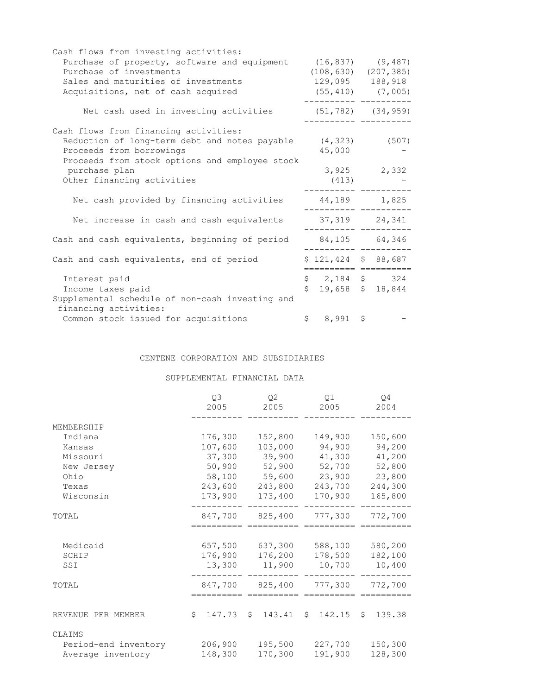| Cash flows from investing activities:           |                                               |                         |
|-------------------------------------------------|-----------------------------------------------|-------------------------|
| Purchase of property, software and equipment    | $(16, 837)$ $(9, 487)$                        |                         |
| Purchase of investments                         | $(108, 630)$ $(207, 385)$                     |                         |
| Sales and maturities of investments             | 129,095 188,918                               |                         |
| Acquisitions, net of cash acquired              |                                               | $(55, 410)$ $(7, 005)$  |
| Net cash used in investing activities           |                                               | $(51, 782)$ $(34, 959)$ |
| Cash flows from financing activities:           |                                               |                         |
| Reduction of long-term debt and notes payable   |                                               | $(4, 323)$ (507)        |
| Proceeds from borrowings                        | 45,000                                        |                         |
| Proceeds from stock options and employee stock  |                                               |                         |
| purchase plan                                   |                                               | $3,925$ 2,332           |
| Other financing activities                      | (413)                                         |                         |
| Net cash provided by financing activities       | 44,189 1,825                                  |                         |
| Net increase in cash and cash equivalents       |                                               | 37,319 24,341           |
| Cash and cash equivalents, beginning of period  |                                               | 84,105 64,346           |
| Cash and cash equivalents, end of period        | $$121,424$ $$88,687$<br>===================== |                         |
| Interest paid                                   | $$2,184$ \$ 324                               |                         |
| Income taxes paid                               | $$19,658$$ $$18,844$                          |                         |
| Supplemental schedule of non-cash investing and |                                               |                         |
| financing activities:                           |                                               |                         |
| Common stock issued for acquisitions            | $$8,991$ \$                                   |                         |

### CENTENE CORPORATION AND SUBSIDIARIES

SUPPLEMENTAL FINANCIAL DATA

|                      | Q3<br>2005   | Q <sub>2</sub><br>2005 | 01<br>2005   | O4<br>2004   |
|----------------------|--------------|------------------------|--------------|--------------|
| MEMBERSHIP           |              |                        |              |              |
| Indiana              | 176,300      | 152,800                | 149,900      | 150,600      |
| Kansas               | 107,600      | 103,000                | 94,900       | 94,200       |
| Missouri             | 37,300       | 39,900                 | 41,300       | 41,200       |
| New Jersey           | 50,900       | 52,900                 | 52,700       | 52,800       |
| Ohio                 | 58,100       | 59,600                 | 23,900       | 23,800       |
| Texas                | 243,600      | 243,800                | 243,700      | 244,300      |
| Wisconsin            | 173,900      | 173,400                | 170,900      | 165,800      |
| TOTAL                | 847,700      | 825,400                | 777,300      | 772,700      |
|                      |              |                        |              |              |
| Medicaid             | 657,500      | 637,300                | 588,100      | 580,200      |
| SCHIP                | 176,900      | 176,200                | 178,500      | 182,100      |
| SSI                  | 13,300       | 11,900                 | 10,700       | 10,400       |
| TOTAL                | 847,700      | 825,400                | 777,300      | 772,700      |
|                      |              |                        |              |              |
| REVENUE PER MEMBER   | 147.73<br>\$ | 143.41<br>\$           | 142.15<br>\$ | 139.38<br>\$ |
| CLAIMS               |              |                        |              |              |
| Period-end inventory | 206,900      | 195,500                | 227,700      | 150,300      |
| Average inventory    | 148,300      | 170,300                | 191,900      | 128,300      |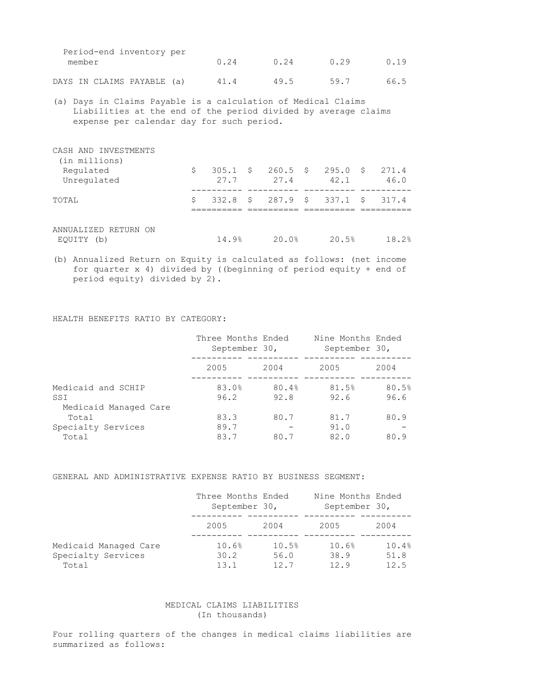| Period-end inventory per<br>member | 0.24 | n 24 | U 29 | UU 19 |
|------------------------------------|------|------|------|-------|
| DAYS IN CLAIMS PAYABLE (a)         | 41.4 | 49.5 | 59.7 | 66.5  |

(a) Days in Claims Payable is a calculation of Medical Claims Liabilities at the end of the period divided by average claims expense per calendar day for such period.

| CASH AND INVESTMENTS<br>(in millions) |   |       |       |                                                   |               |
|---------------------------------------|---|-------|-------|---------------------------------------------------|---------------|
| Regulated<br>Unregulated              | S | 27.7  | 27.4  | $305.1 \quad $260.5 \quad $295.0 \quad $$<br>42.1 | 271.4<br>46.0 |
| TOTAL                                 | Ŝ |       |       | $332.8$ \$ 287.9 \$ 337.1 \$                      | 317.4         |
| ANNUALIZED RETURN ON<br>EQUITY (b)    |   | 14.9% | 20.0% | 20.5%                                             | 18.2%         |

(b) Annualized Return on Equity is calculated as follows: (net income for quarter x 4) divided by ((beginning of period equity + end of period equity) divided by 2).

HEALTH BENEFITS RATIO BY CATEGORY:

|                              | Three Months Ended<br>September 30, |       | Nine Months Ended<br>September 30, |       |
|------------------------------|-------------------------------------|-------|------------------------------------|-------|
|                              | 2005                                | 2004  | 2005                               | 2004  |
| Medicaid and SCHIP           | 83.0%                               | 80.4% | 81.5%                              | 80.5% |
| SSI<br>Medicaid Managed Care | 96.2                                | 92.8  | 92.6                               | 96.6  |
| Total                        | 83.3                                | 80.7  | 81.7                               | 80.9  |
| Specialty Services           | 89.7                                |       | 91.0                               |       |
| Total                        | 83.7                                | 80.7  | 82.0                               | 80.9  |

GENERAL AND ADMINISTRATIVE EXPENSE RATIO BY BUSINESS SEGMENT:

|                                                      | Three Months Ended<br>September 30, |                       | Nine Months Ended<br>September 30, |                       |
|------------------------------------------------------|-------------------------------------|-----------------------|------------------------------------|-----------------------|
|                                                      | 2005                                | 2004                  | 2005                               | 2004                  |
| Medicaid Managed Care<br>Specialty Services<br>Total | 10.6%<br>30.2<br>13.1               | 10.5%<br>56.0<br>12.7 | 10.6%<br>38.9<br>12.9              | 10.4%<br>51.8<br>12.5 |

#### MEDICAL CLAIMS LIABILITIES (In thousands)

Four rolling quarters of the changes in medical claims liabilities are summarized as follows: